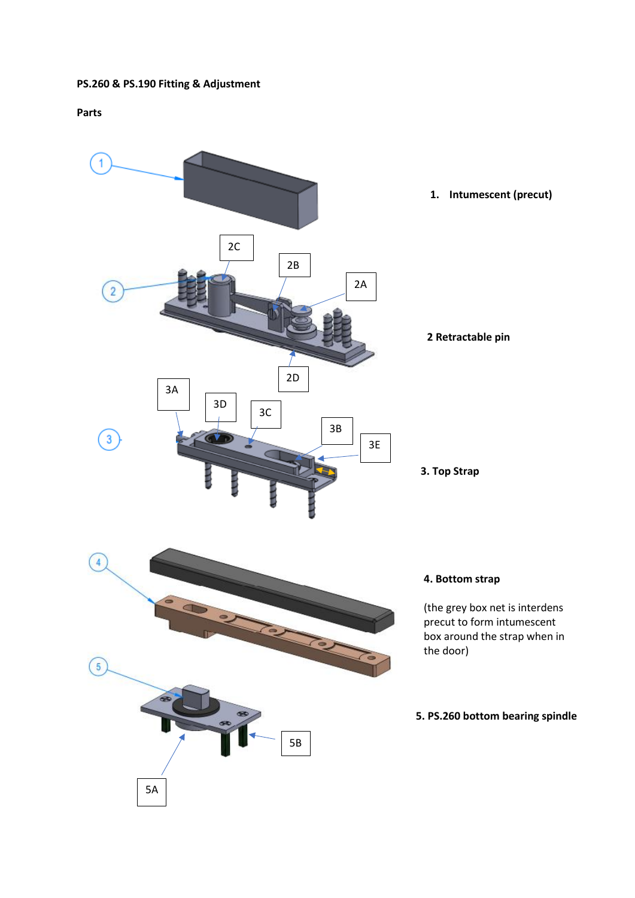# **PS.260 & PS.190 Fitting & Adjustment**

# **Parts**

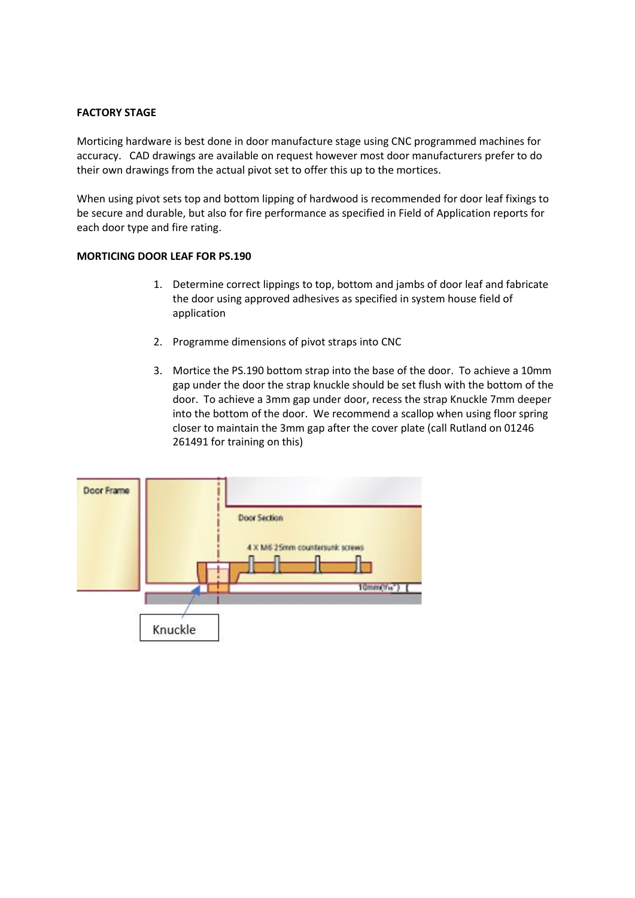## **FACTORY STAGE**

Morticing hardware is best done in door manufacture stage using CNC programmed machines for accuracy. CAD drawings are available on request however most door manufacturers prefer to do their own drawings from the actual pivot set to offer this up to the mortices.

When using pivot sets top and bottom lipping of hardwood is recommended for door leaf fixings to be secure and durable, but also for fire performance as specified in Field of Application reports for each door type and fire rating.

## **MORTICING DOOR LEAF FOR PS.190**

- 1. Determine correct lippings to top, bottom and jambs of door leaf and fabricate the door using approved adhesives as specified in system house field of application
- 2. Programme dimensions of pivot straps into CNC
- 3. Mortice the PS.190 bottom strap into the base of the door. To achieve a 10mm gap under the door the strap knuckle should be set flush with the bottom of the door. To achieve a 3mm gap under door, recess the strap Knuckle 7mm deeper into the bottom of the door. We recommend a scallop when using floor spring closer to maintain the 3mm gap after the cover plate (call Rutland on 01246 261491 for training on this)

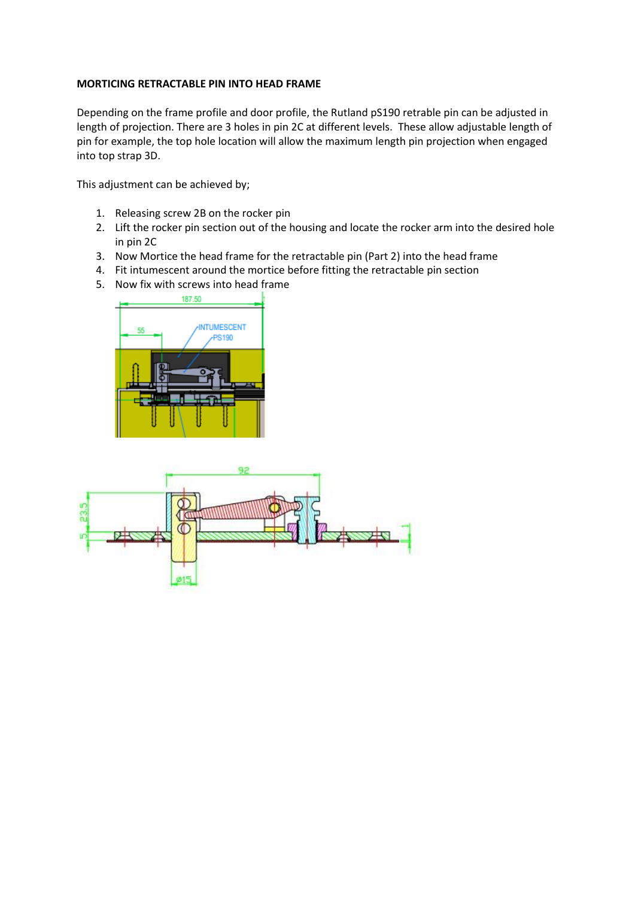## **MORTICING RETRACTABLE PIN INTO HEAD FRAME**

Depending on the frame profile and door profile, the Rutland pS190 retrable pin can be adjusted in length of projection. There are 3 holes in pin 2C at different levels. These allow adjustable length of pin for example, the top hole location will allow the maximum length pin projection when engaged into top strap 3D.

This adjustment can be achieved by;

- 1. Releasing screw 2B on the rocker pin
- 2. Lift the rocker pin section out of the housing and locate the rocker arm into the desired hole in pin 2C
- 3. Now Mortice the head frame for the retractable pin (Part 2) into the head frame
- 4. Fit intumescent around the mortice before fitting the retractable pin section
- 5. Now fix with screws into head frame



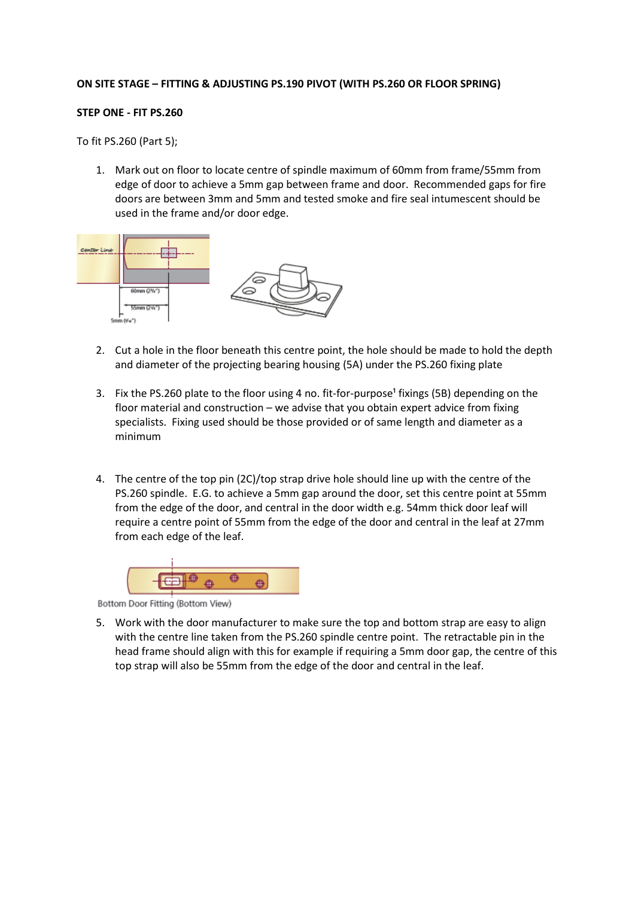#### **ON SITE STAGE – FITTING & ADJUSTING PS.190 PIVOT (WITH PS.260 OR FLOOR SPRING)**

#### **STEP ONE - FIT PS.260**

To fit PS.260 (Part 5);

1. Mark out on floor to locate centre of spindle maximum of 60mm from frame/55mm from edge of door to achieve a 5mm gap between frame and door. Recommended gaps for fire doors are between 3mm and 5mm and tested smoke and fire seal intumescent should be used in the frame and/or door edge.



- 2. Cut a hole in the floor beneath this centre point, the hole should be made to hold the depth and diameter of the projecting bearing housing (5A) under the PS.260 fixing plate
- 3. Fix the PS.260 plate to the floor using 4 no. fit-for-purpose<sup>1</sup> fixings (5B) depending on the floor material and construction – we advise that you obtain expert advice from fixing specialists. Fixing used should be those provided or of same length and diameter as a minimum
- 4. The centre of the top pin (2C)/top strap drive hole should line up with the centre of the PS.260 spindle. E.G. to achieve a 5mm gap around the door, set this centre point at 55mm from the edge of the door, and central in the door width e.g. 54mm thick door leaf will require a centre point of 55mm from the edge of the door and central in the leaf at 27mm from each edge of the leaf.



Bottom Door Fitting (Bottom View)

5. Work with the door manufacturer to make sure the top and bottom strap are easy to align with the centre line taken from the PS.260 spindle centre point. The retractable pin in the head frame should align with this for example if requiring a 5mm door gap, the centre of this top strap will also be 55mm from the edge of the door and central in the leaf.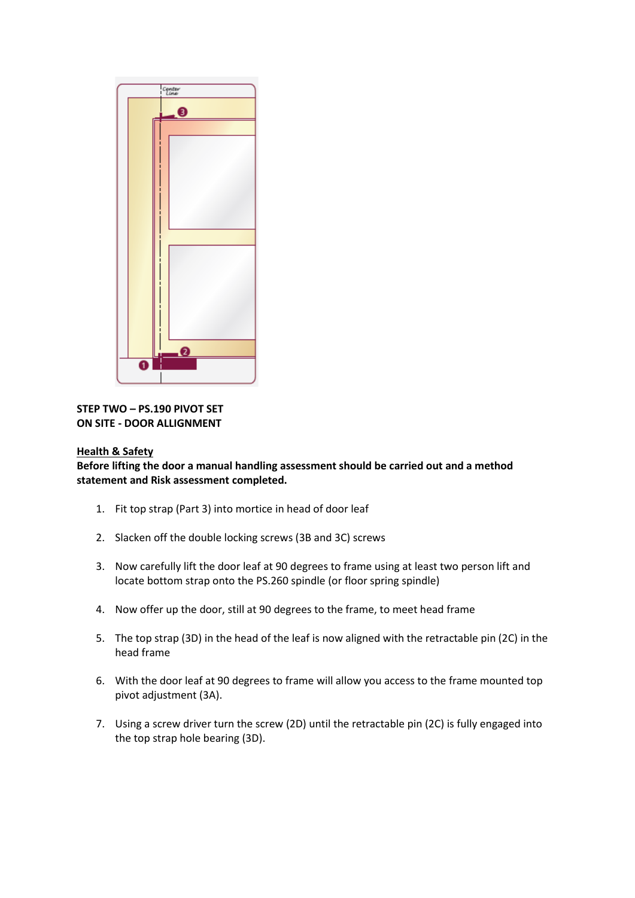

# **STEP TWO – PS.190 PIVOT SET ON SITE - DOOR ALLIGNMENT**

## **Health & Safety**

**Before lifting the door a manual handling assessment should be carried out and a method statement and Risk assessment completed.**

- 1. Fit top strap (Part 3) into mortice in head of door leaf
- 2. Slacken off the double locking screws (3B and 3C) screws
- 3. Now carefully lift the door leaf at 90 degrees to frame using at least two person lift and locate bottom strap onto the PS.260 spindle (or floor spring spindle)
- 4. Now offer up the door, still at 90 degrees to the frame, to meet head frame
- 5. The top strap (3D) in the head of the leaf is now aligned with the retractable pin (2C) in the head frame
- 6. With the door leaf at 90 degrees to frame will allow you access to the frame mounted top pivot adjustment (3A).
- 7. Using a screw driver turn the screw (2D) until the retractable pin (2C) is fully engaged into the top strap hole bearing (3D).